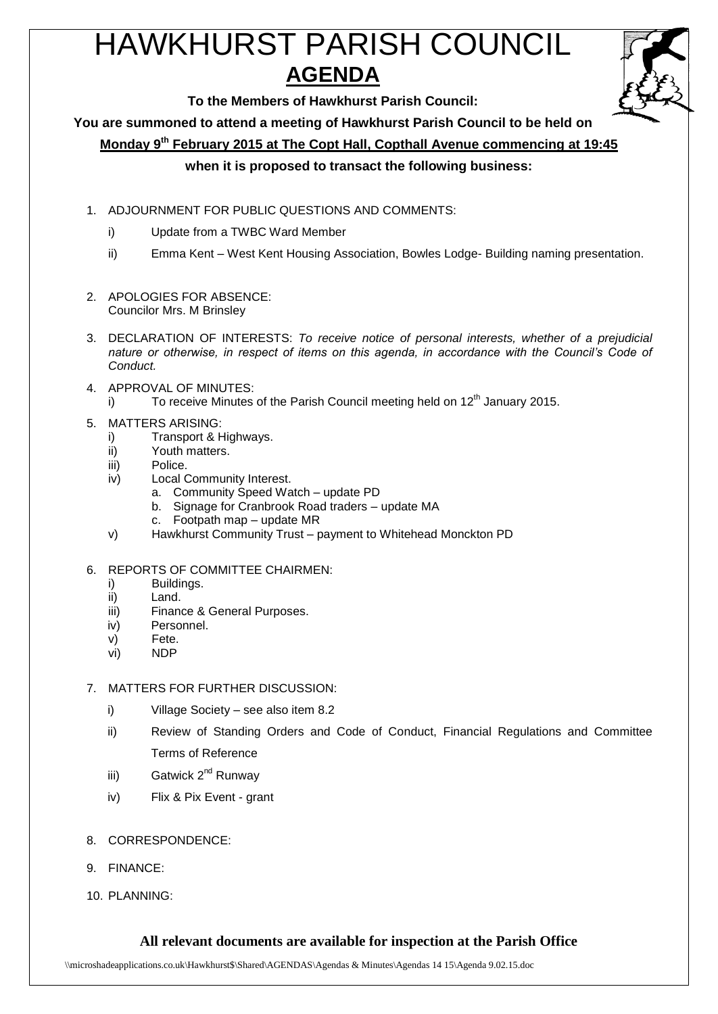# HAWKHURST PARISH COUNCIL **AGENDA**



**To the Members of Hawkhurst Parish Council:**

**You are summoned to attend a meeting of Hawkhurst Parish Council to be held on**

**Monday 9 th February 2015 at The Copt Hall, Copthall Avenue commencing at 19:45**

### **when it is proposed to transact the following business:**

- 1. ADJOURNMENT FOR PUBLIC QUESTIONS AND COMMENTS:
	- i) Update from a TWBC Ward Member
	- ii) Emma Kent West Kent Housing Association, Bowles Lodge- Building naming presentation.
- 2. APOLOGIES FOR ABSENCE: Councilor Mrs. M Brinsley
- 3. DECLARATION OF INTERESTS: *To receive notice of personal interests, whether of a prejudicial nature or otherwise, in respect of items on this agenda, in accordance with the Council's Code of Conduct.*
- 4. APPROVAL OF MINUTES:
	- i) To receive Minutes of the Parish Council meeting held on  $12<sup>th</sup>$  January 2015.
- 5. MATTERS ARISING:
	- i) Transport & Highways.
	- ii) Youth matters.
	- iii) Police.
	- iv) Local Community Interest.
		- a. Community Speed Watch update PD
		- b. Signage for Cranbrook Road traders update MA
		- c. Footpath map update MR
	- v) Hawkhurst Community Trust payment to Whitehead Monckton PD

#### 6. REPORTS OF COMMITTEE CHAIRMEN:

- i) Buildings.
- ii) Land.
- iii) Finance & General Purposes.
- iv) Personnel.
- v) Fete.
- vi) NDP

#### 7. MATTERS FOR FURTHER DISCUSSION:

- i) Village Society see also item 8.2
- ii) Review of Standing Orders and Code of Conduct, Financial Regulations and Committee Terms of Reference
- iii) Gatwick 2<sup>nd</sup> Runway
- iv) Flix & Pix Event grant
- 8. CORRESPONDENCE:
- 9. FINANCE:
- 10. PLANNING:

## **All relevant documents are available for inspection at the Parish Office**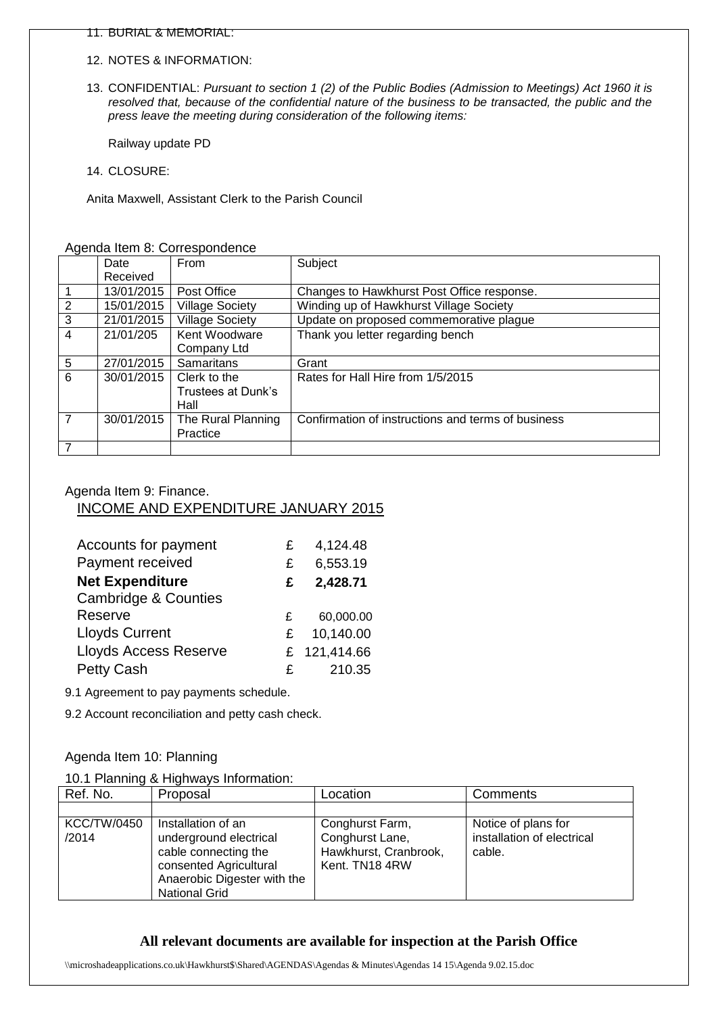- 11. BURIAL & MEMORIAL:
- 12. NOTES & INFORMATION:
- 13. CONFIDENTIAL: *Pursuant to section 1 (2) of the Public Bodies (Admission to Meetings) Act 1960 it is resolved that, because of the confidential nature of the business to be transacted, the public and the press leave the meeting during consideration of the following items:*

Railway update PD

14. CLOSURE:

Anita Maxwell, Assistant Clerk to the Parish Council

|                 | Date       | From                   | Subject                                            |  |  |
|-----------------|------------|------------------------|----------------------------------------------------|--|--|
|                 | Received   |                        |                                                    |  |  |
|                 | 13/01/2015 | Post Office            | Changes to Hawkhurst Post Office response.         |  |  |
| 2               | 15/01/2015 | <b>Village Society</b> | Winding up of Hawkhurst Village Society            |  |  |
| $\overline{3}$  | 21/01/2015 | <b>Village Society</b> | Update on proposed commemorative plague            |  |  |
| $\overline{4}$  | 21/01/205  | Kent Woodware          | Thank you letter regarding bench                   |  |  |
|                 |            | Company Ltd            |                                                    |  |  |
| $5\phantom{.0}$ | 27/01/2015 | <b>Samaritans</b>      | Grant                                              |  |  |
| 6               | 30/01/2015 | Clerk to the           | Rates for Hall Hire from 1/5/2015                  |  |  |
|                 |            | Trustees at Dunk's     |                                                    |  |  |
|                 |            | Hall                   |                                                    |  |  |
| $\overline{7}$  | 30/01/2015 | The Rural Planning     | Confirmation of instructions and terms of business |  |  |
|                 |            | Practice               |                                                    |  |  |
| $\overline{7}$  |            |                        |                                                    |  |  |

#### Agenda Item 8: Correspondence

#### Agenda Item 9: Finance. INCOME AND EXPENDITURE JANUARY 2015

| Accounts for payment            | £. | 4,124.48     |
|---------------------------------|----|--------------|
| Payment received                | £  | 6,553.19     |
| <b>Net Expenditure</b>          | £  | 2,428.71     |
| <b>Cambridge &amp; Counties</b> |    |              |
| Reserve                         | £  | 60,000.00    |
| <b>Lloyds Current</b>           | £. | 10,140.00    |
| <b>Lloyds Access Reserve</b>    |    | £ 121,414.66 |
| <b>Petty Cash</b>               | £  | 210.35       |

9.1 Agreement to pay payments schedule.

9.2 Account reconciliation and petty cash check.

#### Agenda Item 10: Planning

|  |  | 10.1 Planning & Highways Information: |
|--|--|---------------------------------------|
|  |  |                                       |

| Ref. No.                    | Proposal                                                                                                                                              | Location                                                                      | Comments                                                    |
|-----------------------------|-------------------------------------------------------------------------------------------------------------------------------------------------------|-------------------------------------------------------------------------------|-------------------------------------------------------------|
|                             |                                                                                                                                                       |                                                                               |                                                             |
| <b>KCC/TW/0450</b><br>/2014 | Installation of an<br>underground electrical<br>cable connecting the<br>consented Agricultural<br>Anaerobic Digester with the<br><b>National Grid</b> | Conghurst Farm,<br>Conghurst Lane,<br>Hawkhurst, Cranbrook,<br>Kent. TN18 4RW | Notice of plans for<br>installation of electrical<br>cable. |

#### **All relevant documents are available for inspection at the Parish Office**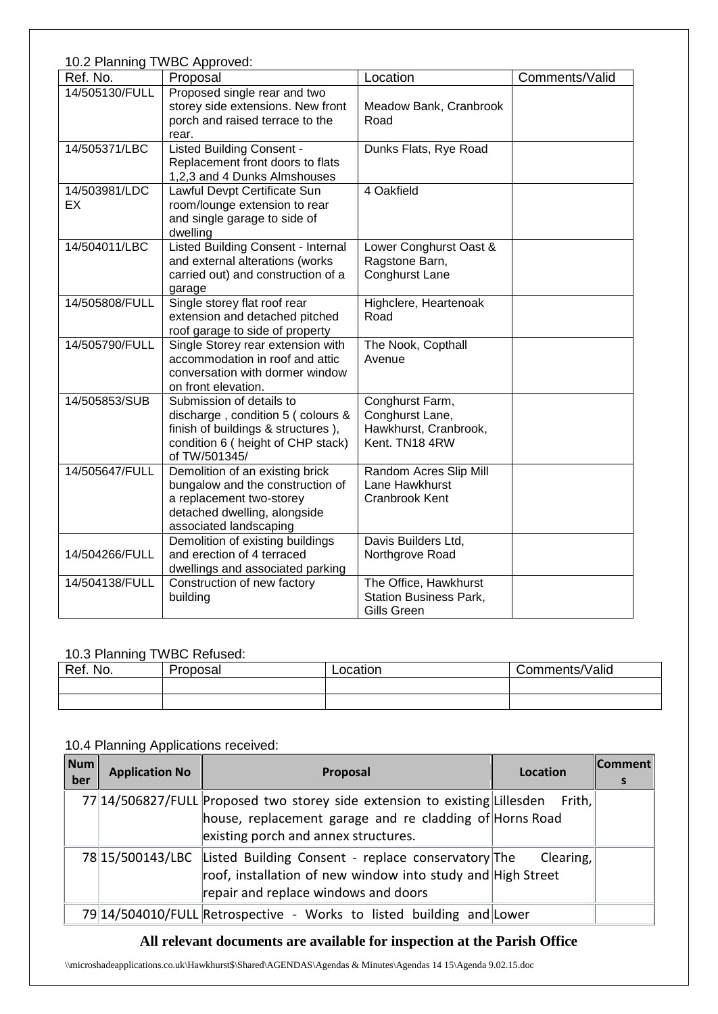| 10.2 Planning TWBC Approved: |                                                                                                                                                            |                                                                               |                |  |  |
|------------------------------|------------------------------------------------------------------------------------------------------------------------------------------------------------|-------------------------------------------------------------------------------|----------------|--|--|
| Ref. No.                     | Proposal                                                                                                                                                   | Location                                                                      | Comments/Valid |  |  |
| 14/505130/FULL               | Proposed single rear and two<br>storey side extensions. New front<br>porch and raised terrace to the<br>rear.                                              | Meadow Bank, Cranbrook<br>Road                                                |                |  |  |
| 14/505371/LBC                | <b>Listed Building Consent -</b><br>Replacement front doors to flats<br>1,2,3 and 4 Dunks Almshouses                                                       | Dunks Flats, Rye Road                                                         |                |  |  |
| 14/503981/LDC<br>EX          | Lawful Devpt Certificate Sun<br>room/lounge extension to rear<br>and single garage to side of<br>dwelling                                                  | 4 Oakfield                                                                    |                |  |  |
| 14/504011/LBC                | <b>Listed Building Consent - Internal</b><br>and external alterations (works<br>carried out) and construction of a<br>garage                               | Lower Conghurst Oast &<br>Ragstone Barn,<br>Conghurst Lane                    |                |  |  |
| 14/505808/FULL               | Single storey flat roof rear<br>extension and detached pitched<br>roof garage to side of property                                                          | Highclere, Heartenoak<br>Road                                                 |                |  |  |
| 14/505790/FULL               | Single Storey rear extension with<br>accommodation in roof and attic<br>conversation with dormer window<br>on front elevation.                             | The Nook, Copthall<br>Avenue                                                  |                |  |  |
| 14/505853/SUB                | Submission of details to<br>discharge, condition 5 (colours &<br>finish of buildings & structures),<br>condition 6 ( height of CHP stack)<br>of TW/501345/ | Conghurst Farm,<br>Conghurst Lane,<br>Hawkhurst, Cranbrook,<br>Kent. TN18 4RW |                |  |  |
| 14/505647/FULL               | Demolition of an existing brick<br>bungalow and the construction of<br>a replacement two-storey<br>detached dwelling, alongside<br>associated landscaping  | Random Acres Slip Mill<br>Lane Hawkhurst<br>Cranbrook Kent                    |                |  |  |
| 14/504266/FULL               | Demolition of existing buildings<br>and erection of 4 terraced<br>dwellings and associated parking                                                         | Davis Builders Ltd,<br>Northgrove Road                                        |                |  |  |
| 14/504138/FULL               | Construction of new factory<br>building                                                                                                                    | The Office, Hawkhurst<br><b>Station Business Park,</b><br>Gills Green         |                |  |  |

# 10.3 Planning TWBC Refused:

| Ref. No. | Proposal | Location | Comments/Valid |
|----------|----------|----------|----------------|
|          |          |          |                |
|          |          |          |                |

# 10.4 Planning Applications received:

| Num<br>ber | <b>Application No</b> | Proposal                                                                   | Location  | <b>Comment</b><br>s |
|------------|-----------------------|----------------------------------------------------------------------------|-----------|---------------------|
|            |                       | 77 14/506827/FULL Proposed two storey side extension to existing Lillesden | Frith, I  |                     |
|            |                       | house, replacement garage and re cladding of Horns Road                    |           |                     |
|            |                       | existing porch and annex structures.                                       |           |                     |
|            |                       | 78 15/500143/LBC Listed Building Consent - replace conservatory The        | Clearing, |                     |
|            |                       | roof, installation of new window into study and High Street                |           |                     |
|            |                       | repair and replace windows and doors                                       |           |                     |
|            |                       | 79 14/504010/FULL Retrospective - Works to listed building and Lower       |           |                     |

# **All relevant documents are available for inspection at the Parish Office**